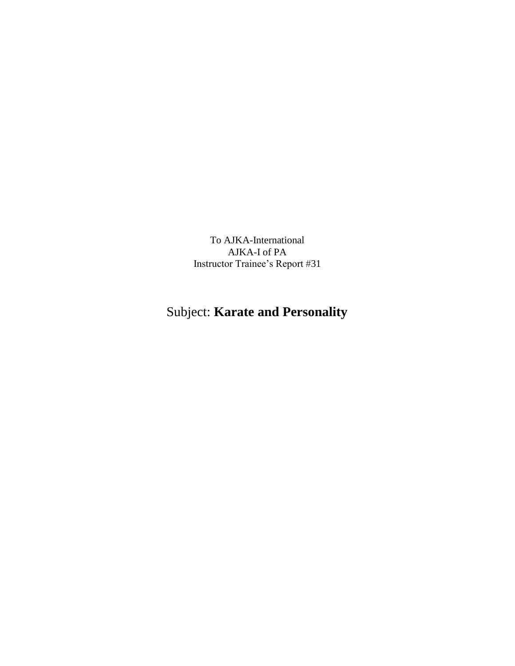To AJKA-International AJKA-I of PA Instructor Trainee's Report #31

## Subject: **Karate and Personality**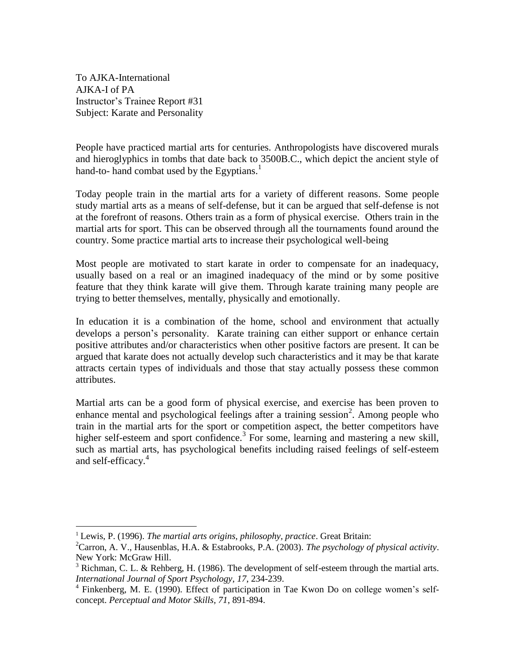To AJKA-International AJKA-I of PA Instructor's Trainee Report #31 Subject: Karate and Personality

People have practiced martial arts for centuries. Anthropologists have discovered murals and hieroglyphics in tombs that date back to 3500B.C., which depict the ancient style of hand-to- hand combat used by the Egyptians.<sup>1</sup>

Today people train in the martial arts for a variety of different reasons. Some people study martial arts as a means of self-defense, but it can be argued that self-defense is not at the forefront of reasons. Others train as a form of physical exercise. Others train in the martial arts for sport. This can be observed through all the tournaments found around the country. Some practice martial arts to increase their psychological well-being

Most people are motivated to start karate in order to compensate for an inadequacy, usually based on a real or an imagined inadequacy of the mind or by some positive feature that they think karate will give them. Through karate training many people are trying to better themselves, mentally, physically and emotionally.

In education it is a combination of the home, school and environment that actually develops a person's personality. Karate training can either support or enhance certain positive attributes and/or characteristics when other positive factors are present. It can be argued that karate does not actually develop such characteristics and it may be that karate attracts certain types of individuals and those that stay actually possess these common attributes.

Martial arts can be a good form of physical exercise, and exercise has been proven to enhance mental and psychological feelings after a training session<sup>2</sup>. Among people who train in the martial arts for the sport or competition aspect, the better competitors have higher self-esteem and sport confidence.<sup>3</sup> For some, learning and mastering a new skill, such as martial arts, has psychological benefits including raised feelings of self-esteem and self-efficacy.<sup>4</sup>

<sup>1</sup> Lewis, P. (1996). *The martial arts origins, philosophy, practice*. Great Britain:

<sup>2</sup>Carron, A. V., Hausenblas, H.A. & Estabrooks, P.A. (2003). *The psychology of physical activity*. New York: McGraw Hill.

 $3$  Richman, C. L. & Rehberg, H. (1986). The development of self-esteem through the martial arts. *International Journal of Sport Psychology*, *17*, 234-239.

<sup>&</sup>lt;sup>4</sup> Finkenberg, M. E. (1990). Effect of participation in Tae Kwon Do on college women's selfconcept. *Perceptual and Motor Skills, 71*, 891-894.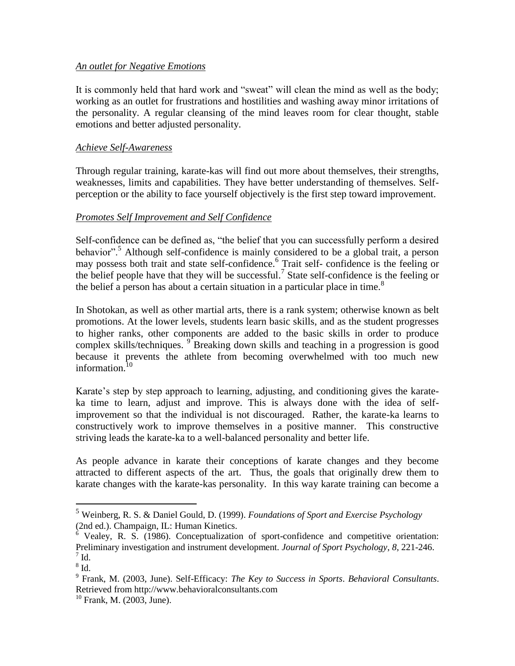## *An outlet for Negative Emotions*

It is commonly held that hard work and "sweat" will clean the mind as well as the body; working as an outlet for frustrations and hostilities and washing away minor irritations of the personality. A regular cleansing of the mind leaves room for clear thought, stable emotions and better adjusted personality.

## *Achieve Self-Awareness*

Through regular training, karate-kas will find out more about themselves, their strengths, weaknesses, limits and capabilities. They have better understanding of themselves. Selfperception or the ability to face yourself objectively is the first step toward improvement.

## *Promotes Self Improvement and Self Confidence*

Self-confidence can be defined as, "the belief that you can successfully perform a desired behavior".<sup>5</sup> Although self-confidence is mainly considered to be a global trait, a person may possess both trait and state self-confidence. 6 Trait self- confidence is the feeling or the belief people have that they will be successful.<sup>7</sup> State self-confidence is the feeling or the belief a person has about a certain situation in a particular place in time.<sup>8</sup>

In Shotokan, as well as other martial arts, there is a rank system; otherwise known as belt promotions. At the lower levels, students learn basic skills, and as the student progresses to higher ranks, other components are added to the basic skills in order to produce complex skills/techniques. <sup>9</sup> Breaking down skills and teaching in a progression is good because it prevents the athlete from becoming overwhelmed with too much new information.<sup>10</sup>

Karate's step by step approach to learning, adjusting, and conditioning gives the karateka time to learn, adjust and improve. This is always done with the idea of selfimprovement so that the individual is not discouraged. Rather, the karate-ka learns to constructively work to improve themselves in a positive manner. This constructive striving leads the karate-ka to a well-balanced personality and better life.

As people advance in karate their conceptions of karate changes and they become attracted to different aspects of the art. Thus, the goals that originally drew them to karate changes with the karate-kas personality. In this way karate training can become a

<sup>5</sup> Weinberg, R. S. & Daniel Gould, D. (1999). *Foundations of Sport and Exercise Psychology*  (2nd ed.). Champaign, IL: Human Kinetics.

 $6$  Vealey, R. S. (1986). Conceptualization of sport-confidence and competitive orientation: Preliminary investigation and instrument development. *Journal of Sport Psychology*, *8*, 221-246.  $^7$  Id.

 $^8$  Id.

<sup>9</sup> Frank, M. (2003, June). Self-Efficacy: *The Key to Success in Sports*. *Behavioral Consultants*. Retrieved from http://www.behavioralconsultants.com

 $10$  Frank, M. (2003, June).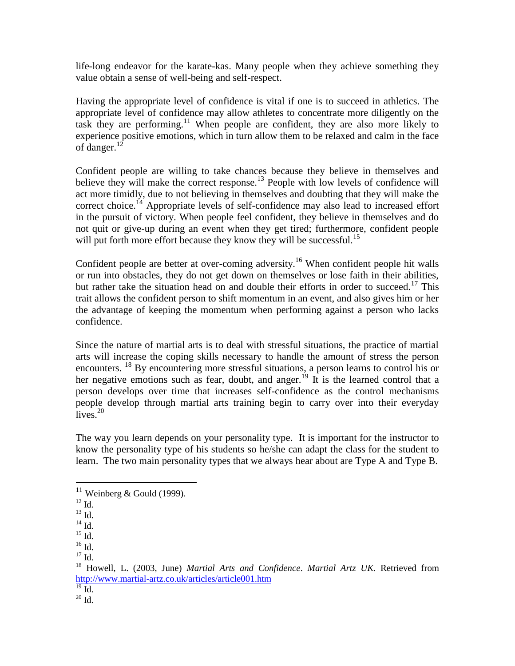life-long endeavor for the karate-kas. Many people when they achieve something they value obtain a sense of well-being and self-respect.

Having the appropriate level of confidence is vital if one is to succeed in athletics. The appropriate level of confidence may allow athletes to concentrate more diligently on the task they are performing.<sup>11</sup> When people are confident, they are also more likely to experience positive emotions, which in turn allow them to be relaxed and calm in the face of danger.<sup>12</sup>

Confident people are willing to take chances because they believe in themselves and believe they will make the correct response.<sup>13</sup> People with low levels of confidence will act more timidly, due to not believing in themselves and doubting that they will make the correct choice.<sup>14</sup> Appropriate levels of self-confidence may also lead to increased effort in the pursuit of victory. When people feel confident, they believe in themselves and do not quit or give-up during an event when they get tired; furthermore, confident people will put forth more effort because they know they will be successful.<sup>15</sup>

Confident people are better at over-coming adversity.<sup>16</sup> When confident people hit walls or run into obstacles, they do not get down on themselves or lose faith in their abilities, but rather take the situation head on and double their efforts in order to succeed.<sup>17</sup> This trait allows the confident person to shift momentum in an event, and also gives him or her the advantage of keeping the momentum when performing against a person who lacks confidence.

Since the nature of martial arts is to deal with stressful situations, the practice of martial arts will increase the coping skills necessary to handle the amount of stress the person encounters. <sup>18</sup> By encountering more stressful situations, a person learns to control his or her negative emotions such as fear, doubt, and anger.<sup>19</sup> It is the learned control that a person develops over time that increases self-confidence as the control mechanisms people develop through martial arts training begin to carry over into their everyday  $\overline{l}$ ives.<sup>20</sup>

The way you learn depends on your personality type. It is important for the instructor to know the personality type of his students so he/she can adapt the class for the student to learn. The two main personality types that we always hear about are Type A and Type B.

 $11$  Weinberg & Gould (1999).

 $^{12}$  Id.

 $^{13}$  Id.

 $^{14}$  Id.

 $^{15}$  Id.

 $16$  Id.

 $17 \text{ Id.}$ 

<sup>18</sup> Howell, L. (2003, June) *Martial Arts and Confidence*. *Martial Artz UK.* Retrieved from <http://www.martial-artz.co.uk/articles/article001.htm>

 $\overline{^{19}$  Id.

 $20$  Id.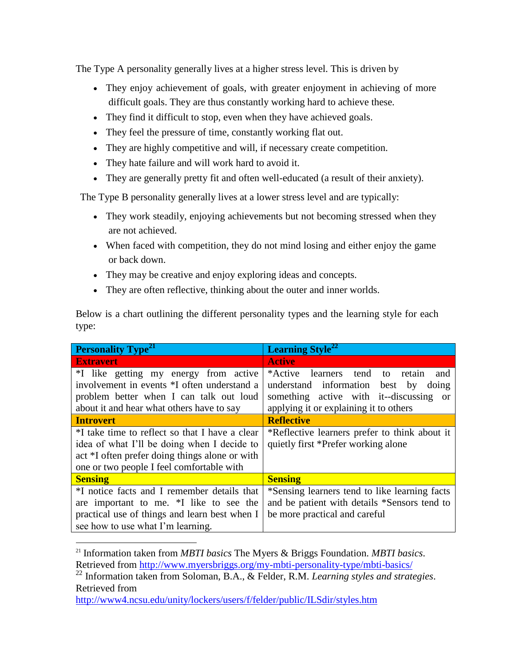The Type A personality generally lives at a higher stress level. This is driven by

- They enjoy achievement of goals, with greater enjoyment in achieving of more difficult goals. They are thus constantly working hard to achieve these.
- They find it difficult to stop, even when they have achieved goals.
- They feel the pressure of time, constantly working flat out.
- They are highly competitive and will, if necessary create competition.
- They hate failure and will work hard to avoid it.
- They are generally pretty fit and often well-educated (a result of their anxiety).

The Type B personality generally lives at a lower stress level and are typically:

- They work steadily, enjoying achievements but not becoming stressed when they are not achieved.
- When faced with competition, they do not mind losing and either enjoy the game or back down.
- They may be creative and enjoy exploring ideas and concepts.
- They are often reflective, thinking about the outer and inner worlds.

Below is a chart outlining the different personality types and the learning style for each type:

| <b>Personality Type<sup>21</sup></b>                       | <b>Learning Style</b> <sup>22</sup>                        |
|------------------------------------------------------------|------------------------------------------------------------|
| <b>Extravert</b>                                           | <b>Active</b>                                              |
| *I like getting my energy from active                      | *Active<br>learners tend<br>$\mathsf{to}$<br>retain<br>and |
| involvement in events *I often understand a                | understand information<br>best by<br>doing                 |
| problem better when I can talk out loud                    | something active with it-discussing<br><b>or</b>           |
| about it and hear what others have to say                  | applying it or explaining it to others                     |
| <b>Introvert</b>                                           | <b>Reflective</b>                                          |
| <sup>*</sup> I take time to reflect so that I have a clear | *Reflective learners prefer to think about it              |
| idea of what I'll be doing when I decide to                | quietly first *Prefer working alone                        |
| act *I often prefer doing things alone or with             |                                                            |
| one or two people I feel comfortable with                  |                                                            |
| <b>Sensing</b>                                             | <b>Sensing</b>                                             |
| *I notice facts and I remember details that                | *Sensing learners tend to like learning facts              |
| are important to me. *I like to see the                    | and be patient with details *Sensors tend to               |
| practical use of things and learn best when I              | be more practical and careful                              |
| see how to use what I'm learning.                          |                                                            |

<sup>21</sup> Information taken from *MBTI basics* The Myers & Briggs Foundation. *MBTI basics*. Retrieved from<http://www.myersbriggs.org/my-mbti-personality-type/mbti-basics/>

<sup>22</sup> Information taken from Soloman, B.A., & Felder, R.M. *Learning styles and strategies*. Retrieved from

<http://www4.ncsu.edu/unity/lockers/users/f/felder/public/ILSdir/styles.htm>